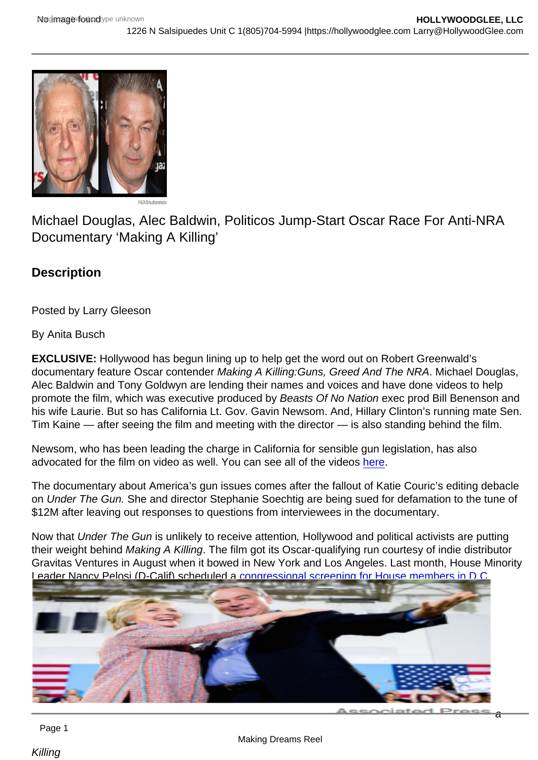# Michael Douglas, Alec Baldwin, Politicos Jump-Start Oscar Race For Anti-NRA Documentary 'Making A Killing'

**Description** 

Posted by Larry Gleeson

By Anita Busch

EXCLUSIVE: Hollywood has begun lining up to help get the word out on Robert Greenwald's documentary feature Oscar contender Making A Killing:Guns, Greed And The NRA. Michael Douglas, Alec Baldwin and Tony Goldwyn are lending their names and voices and have done videos to help promote the film, which was executive produced by Beasts Of No Nation exec prod Bill Benenson and his wife Laurie. But so has California Lt. Gov. Gavin Newsom. And, Hillary Clinton's running mate Sen. Tim Kaine — after seeing the film and meeting with the director — is also standing behind the film.

Newsom, who has been leading the charge in California for sensible gun legislation, has also advocated for the film on video as well. You can see all of the videos [here.](https://www.youtube.com/playlist?list=PLQ9B-p5Q-YOPbppyfZPOeDmwX4jXOrV2r)

The documentary about America's gun issues comes after the fallout of Katie Couric's editing debacle on Under The Gun. She and director Stephanie Soechtig are being sued for defamation to the tune of \$12M after leaving out responses to questions from interviewees in the documentary.

Now that Under The Gun is unlikely to receive attention, Hollywood and political activists are putting their weight behind Making A Killing. The film got its Oscar-qualifying run courtesy of indie distributor Gravitas Ventures in August when it bowed in New York and Los Angeles. Last month, House Minority Leader Nancy Pelosi (D-Calif) scheduled a [congressional screening for House members in D.C.](http://deadline.com/2016/09/nancy-pelosi-anti-gun-documentary-congressional-screening-1201827964/)

Even Kaine is getting into the act, offering up this promotional quote for the film: "Making

Page 1

a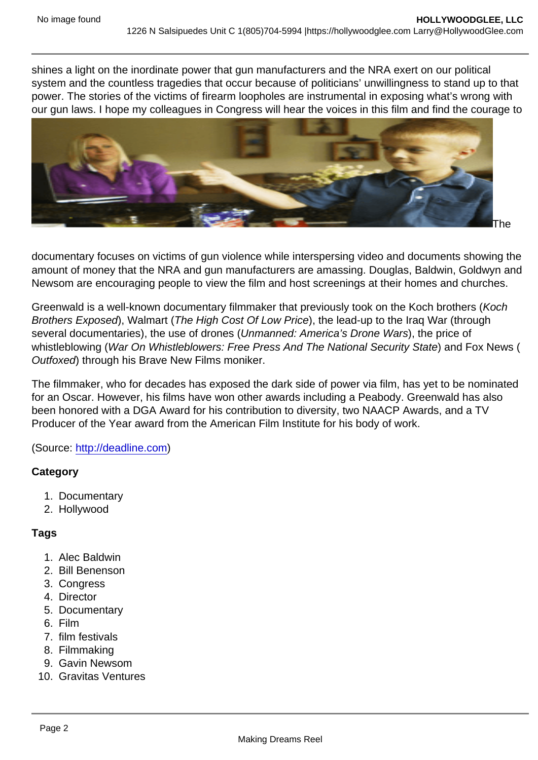shines a light on the inordinate power that gun manufacturers and the NRA exert on our political system and the countless tragedies that occur because of politicians' unwillingness to stand up to that power. The stories of the victims of firearm loopholes are instrumental in exposing what's wrong with our gun laws. I hope my colleagues in Congress will hear the voices in this film and find the courage to side with citizens over the gun lobby."

# The

documentary focuses on victims of gun violence while interspersing video and documents showing the amount of money that the NRA and gun manufacturers are amassing. Douglas, Baldwin, Goldwyn and Newsom are encouraging people to view the film and host screenings at their homes and churches.

Greenwald is a well-known documentary filmmaker that previously took on the Koch brothers (Koch Brothers Exposed), Walmart (The High Cost Of Low Price), the lead-up to the Iraq War (through several documentaries), the use of drones (Unmanned: America's Drone Wars), the price of whistleblowing (War On Whistleblowers: Free Press And The National Security State) and Fox News ( Outfoxed) through his Brave New Films moniker.

The filmmaker, who for decades has exposed the dark side of power via film, has yet to be nominated for an Oscar. However, his films have won other awards including a Peabody. Greenwald has also been honored with a DGA Award for his contribution to diversity, two NAACP Awards, and a TV Producer of the Year award from the American Film Institute for his body of work.

# (Source: <http://deadline.com>)

### **Category**

- 1. Documentary
- 2. Hollywood

# Tags

- 1. Alec Baldwin
- 2. Bill Benenson
- 3. Congress
- 4. Director
- 5. Documentary
- 6. Film
- 7. film festivals
- 8. Filmmaking
- 9. Gavin Newsom
- 10. Gravitas Ventures